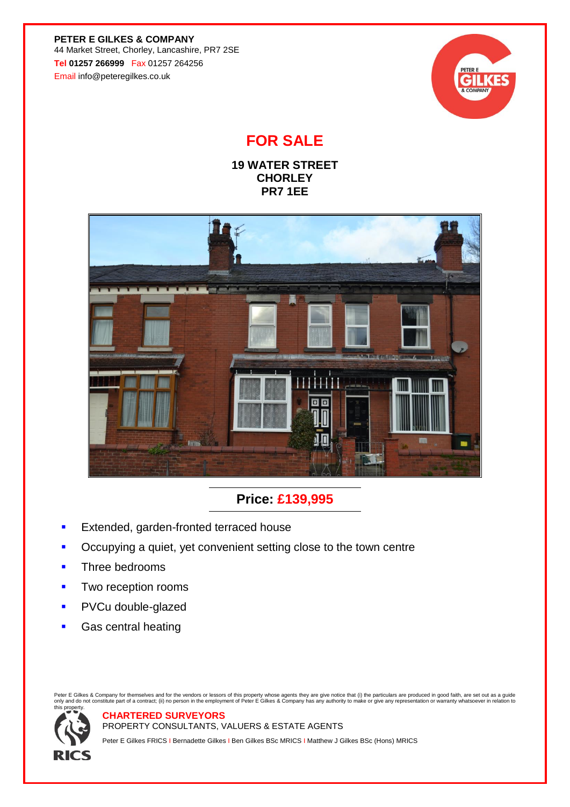**PETER E GILKES & COMPANY** 44 Market Street, Chorley, Lancashire, PR7 2SE **Tel 01257 266999** Fax 01257 264256 Email info@peteregilkes.co.uk



## **FOR SALE**

**19 WATER STREET CHORLEY PR7 1EE**



### **Price: £139,995**

Extended, garden-fronted terraced house

**CHARTERED SURVEYORS**

- Occupying a quiet, yet convenient setting close to the town centre
- Three bedrooms
- Two reception rooms
- PVCu double-glazed
- Gas central heating

Peter E Gilkes & Company for themselves and for the vendors or lessors of this property whose agents they are give notice that (i) the particulars are produced in good faith, are set out as a guide<br>only and do not constitu this property.

# **RICS**

PROPERTY CONSULTANTS, VALUERS & ESTATE AGENTS

Peter E Gilkes FRICS I Bernadette Gilkes I Ben Gilkes BSc MRICS I Matthew J Gilkes BSc (Hons) MRICS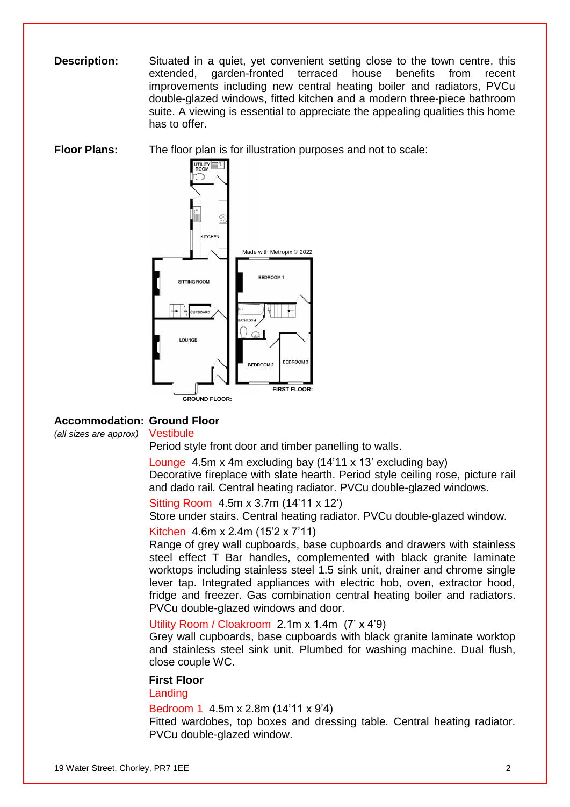**Description:** Situated in a quiet, yet convenient setting close to the town centre, this extended, garden-fronted terraced house benefits from recent improvements including new central heating boiler and radiators, PVCu double-glazed windows, fitted kitchen and a modern three-piece bathroom suite. A viewing is essential to appreciate the appealing qualities this home has to offer.

**Floor Plans:** The floor plan is for illustration purposes and not to scale:



#### **Accommodation: Ground Floor**

*(all sizes are approx)* Vestibule

Period style front door and timber panelling to walls.

Lounge 4.5m x 4m excluding bay (14'11 x 13' excluding bay) Decorative fireplace with slate hearth. Period style ceiling rose, picture rail and dado rail. Central heating radiator. PVCu double-glazed windows.

Sitting Room 4.5m x 3.7m (14'11 x 12')

Store under stairs. Central heating radiator. PVCu double-glazed window.

Kitchen 4.6m x 2.4m (15'2 x 7'11)

Range of grey wall cupboards, base cupboards and drawers with stainless steel effect T Bar handles, complemented with black granite laminate worktops including stainless steel 1.5 sink unit, drainer and chrome single lever tap. Integrated appliances with electric hob, oven, extractor hood, fridge and freezer. Gas combination central heating boiler and radiators. PVCu double-glazed windows and door.

#### Utility Room / Cloakroom 2.1m x 1.4m (7' x 4'9)

Grey wall cupboards, base cupboards with black granite laminate worktop and stainless steel sink unit. Plumbed for washing machine. Dual flush, close couple WC.

#### **First Floor**

Landing

Bedroom 1 4.5m x 2.8m (14'11 x 9'4)

Fitted wardobes, top boxes and dressing table. Central heating radiator. PVCu double-glazed window.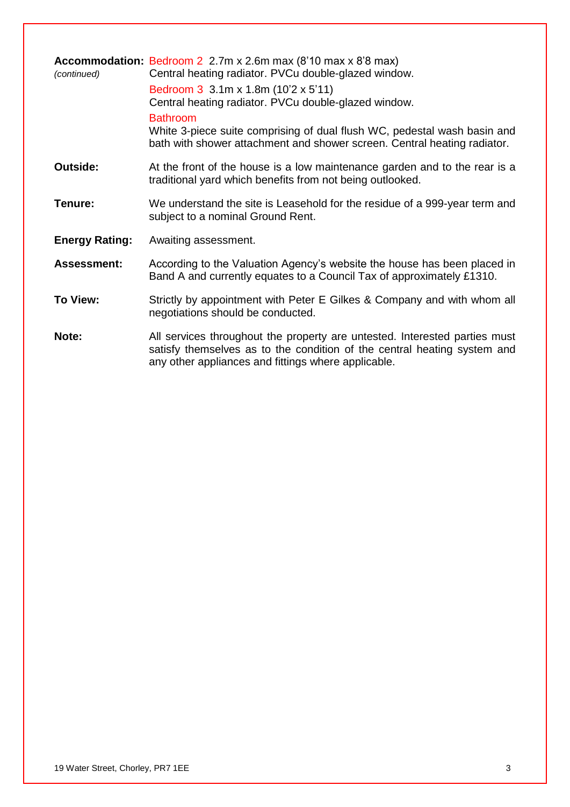| (continued)           | <b>Accommodation:</b> Bedroom 2 2.7m x 2.6m max $(8'10 \text{ max } x 8'8 \text{ max})$<br>Central heating radiator. PVCu double-glazed window.<br>Bedroom 3 3.1m x 1.8m (10'2 x 5'11)<br>Central heating radiator. PVCu double-glazed window.<br><b>Bathroom</b><br>White 3-piece suite comprising of dual flush WC, pedestal wash basin and<br>bath with shower attachment and shower screen. Central heating radiator. |
|-----------------------|---------------------------------------------------------------------------------------------------------------------------------------------------------------------------------------------------------------------------------------------------------------------------------------------------------------------------------------------------------------------------------------------------------------------------|
| <b>Outside:</b>       | At the front of the house is a low maintenance garden and to the rear is a<br>traditional yard which benefits from not being outlooked.                                                                                                                                                                                                                                                                                   |
| Tenure:               | We understand the site is Leasehold for the residue of a 999-year term and<br>subject to a nominal Ground Rent.                                                                                                                                                                                                                                                                                                           |
| <b>Energy Rating:</b> | Awaiting assessment.                                                                                                                                                                                                                                                                                                                                                                                                      |
| <b>Assessment:</b>    | According to the Valuation Agency's website the house has been placed in<br>Band A and currently equates to a Council Tax of approximately £1310.                                                                                                                                                                                                                                                                         |
| To View:              | Strictly by appointment with Peter E Gilkes & Company and with whom all<br>negotiations should be conducted.                                                                                                                                                                                                                                                                                                              |
| Note:                 | All services throughout the property are untested. Interested parties must<br>satisfy themselves as to the condition of the central heating system and<br>any other appliances and fittings where applicable.                                                                                                                                                                                                             |